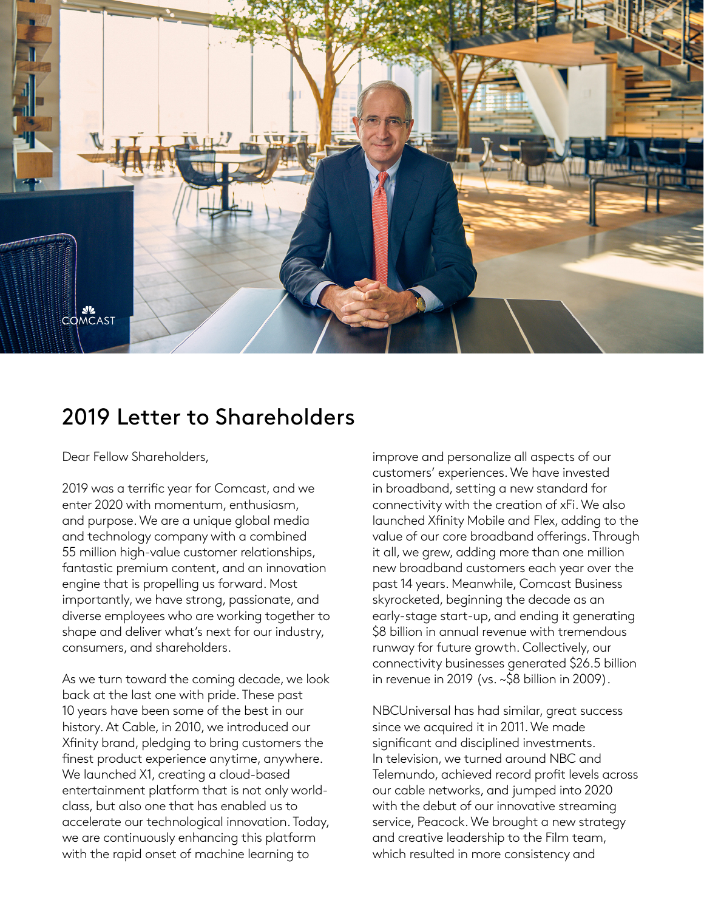

## 2019 Letter to Shareholders

Dear Fellow Shareholders,

2019 was a terrific year for Comcast, and we enter 2020 with momentum, enthusiasm, and purpose. We are a unique global media and technology company with a combined 55 million high-value customer relationships, fantastic premium content, and an innovation engine that is propelling us forward. Most importantly, we have strong, passionate, and diverse employees who are working together to shape and deliver what's next for our industry, consumers, and shareholders.

As we turn toward the coming decade, we look back at the last one with pride. These past 10 years have been some of the best in our history. At Cable, in 2010, we introduced our Xfinity brand, pledging to bring customers the finest product experience anytime, anywhere. We launched X1, creating a cloud-based entertainment platform that is not only worldclass, but also one that has enabled us to accelerate our technological innovation. Today, we are continuously enhancing this platform with the rapid onset of machine learning to

improve and personalize all aspects of our customers' experiences. We have invested in broadband, setting a new standard for connectivity with the creation of xFi. We also launched Xfinity Mobile and Flex, adding to the value of our core broadband offerings. Through it all, we grew, adding more than one million new broadband customers each year over the past 14 years. Meanwhile, Comcast Business skyrocketed, beginning the decade as an early-stage start-up, and ending it generating \$8 billion in annual revenue with tremendous runway for future growth. Collectively, our connectivity businesses generated \$26.5 billion in revenue in 2019 (vs. ~\$8 billion in 2009).

NBCUniversal has had similar, great success since we acquired it in 2011. We made significant and disciplined investments. In television, we turned around NBC and Telemundo, achieved record profit levels across our cable networks, and jumped into 2020 with the debut of our innovative streaming service, Peacock. We brought a new strategy and creative leadership to the Film team, which resulted in more consistency and